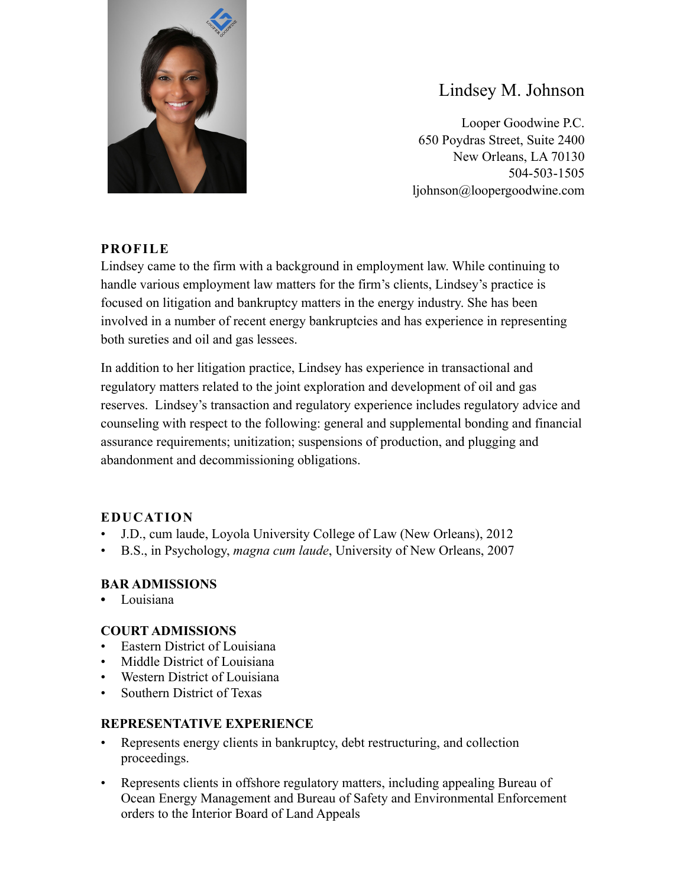

# Lindsey M. Johnson

Looper Goodwine P.C. 650 Poydras Street, Suite 2400 New Orleans, LA 70130 504-503-1505 ljohnson@loopergoodwine.com

### **PROFILE**

Lindsey came to the firm with a background in employment law. While continuing to handle various employment law matters for the firm's clients, Lindsey's practice is focused on litigation and bankruptcy matters in the energy industry. She has been involved in a number of recent energy bankruptcies and has experience in representing both sureties and oil and gas lessees.

In addition to her litigation practice, Lindsey has experience in transactional and regulatory matters related to the joint exploration and development of oil and gas reserves. Lindsey's transaction and regulatory experience includes regulatory advice and counseling with respect to the following: general and supplemental bonding and financial assurance requirements; unitization; suspensions of production, and plugging and abandonment and decommissioning obligations.

### **EDUCATION**

- J.D., cum laude, Loyola University College of Law (New Orleans), 2012
- B.S., in Psychology, *magna cum laude*, University of New Orleans, 2007

### **BAR ADMISSIONS**

**•** Louisiana

### **COURT ADMISSIONS**

- Eastern District of Louisiana
- Middle District of Louisiana
- Western District of Louisiana
- Southern District of Texas

### **REPRESENTATIVE EXPERIENCE**

- Represents energy clients in bankruptcy, debt restructuring, and collection proceedings.
- Represents clients in offshore regulatory matters, including appealing Bureau of Ocean Energy Management and Bureau of Safety and Environmental Enforcement orders to the Interior Board of Land Appeals